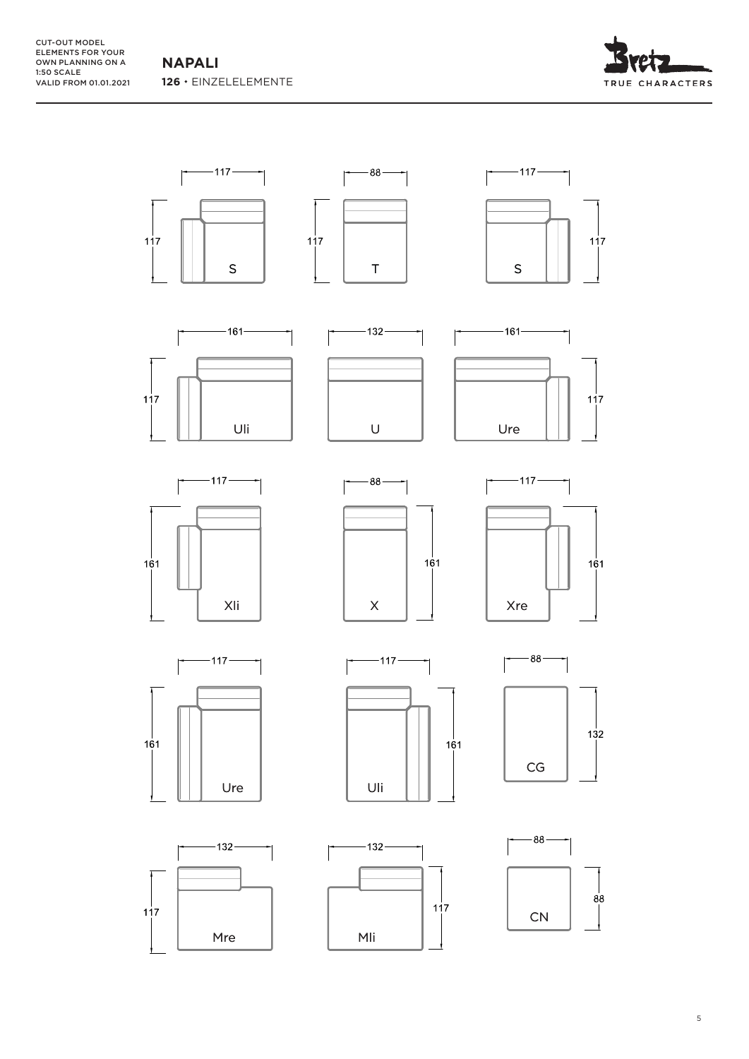**NAPALI 126**  EINZELELEMENTE



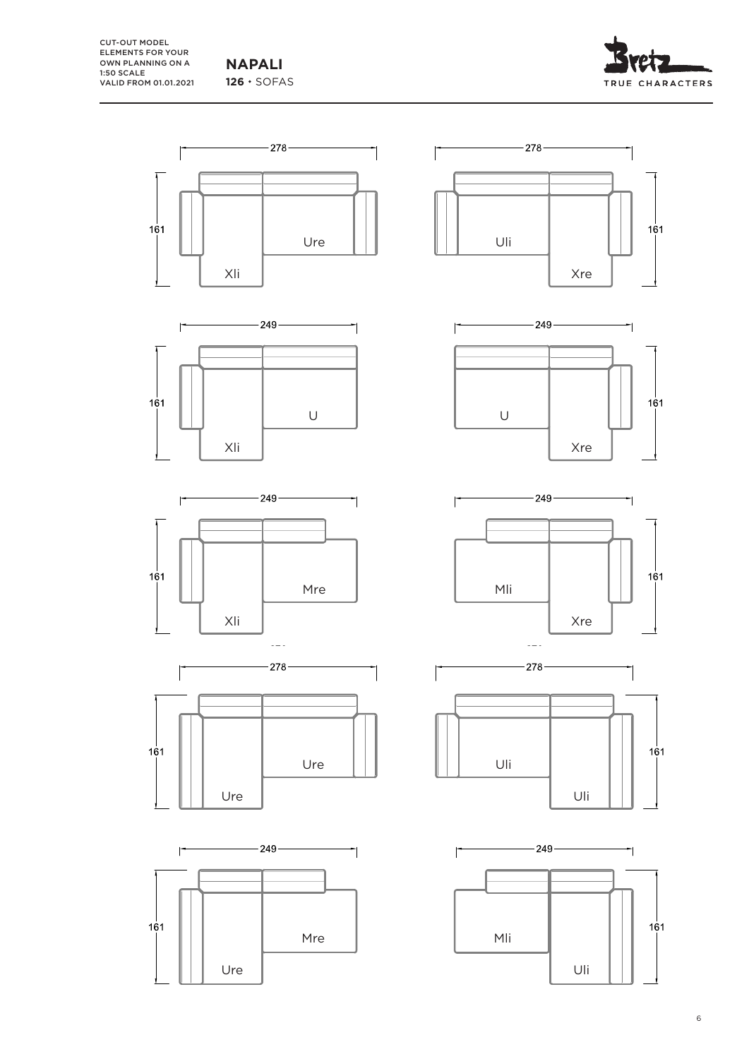CUT-OUT MODEL ELEMENTS FOR YOUR OWN PLANNING ON A 1:50 SCALE VALID FROM 01.01.2021

**NAPALI** 126 · SOFAS



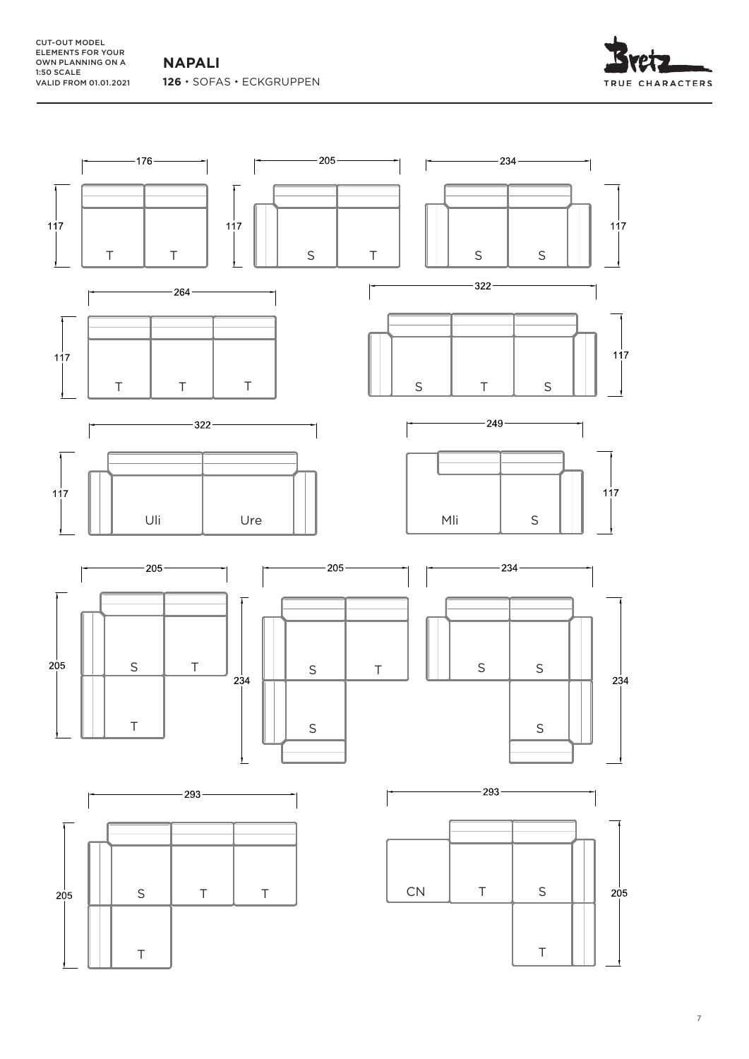**NAPALI** 126 · SOFAS · ECKGRUPPEN



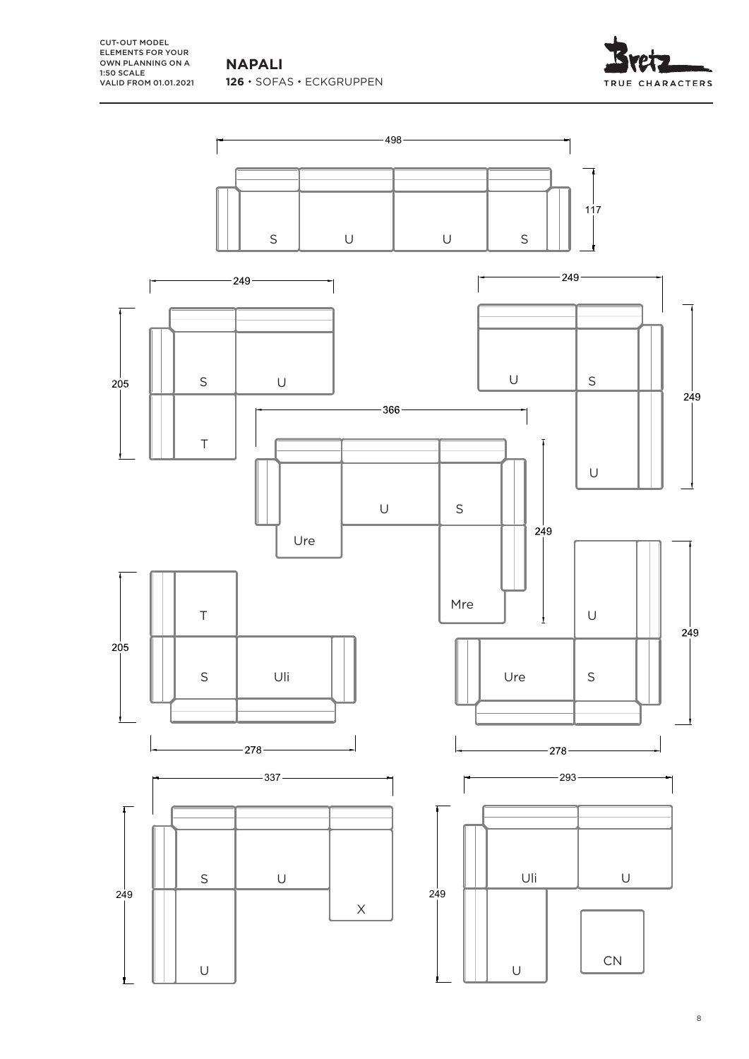**NAPALI** 126 · SOFAS · ECKGRUPPEN

CUT-OUT MODEL ELEMENTS FOR YOUR OWN PLANNING ON A 1:50 SCALE VALID FROM 01.01.2021  $17.0$ 

TRUE CHARACTERS

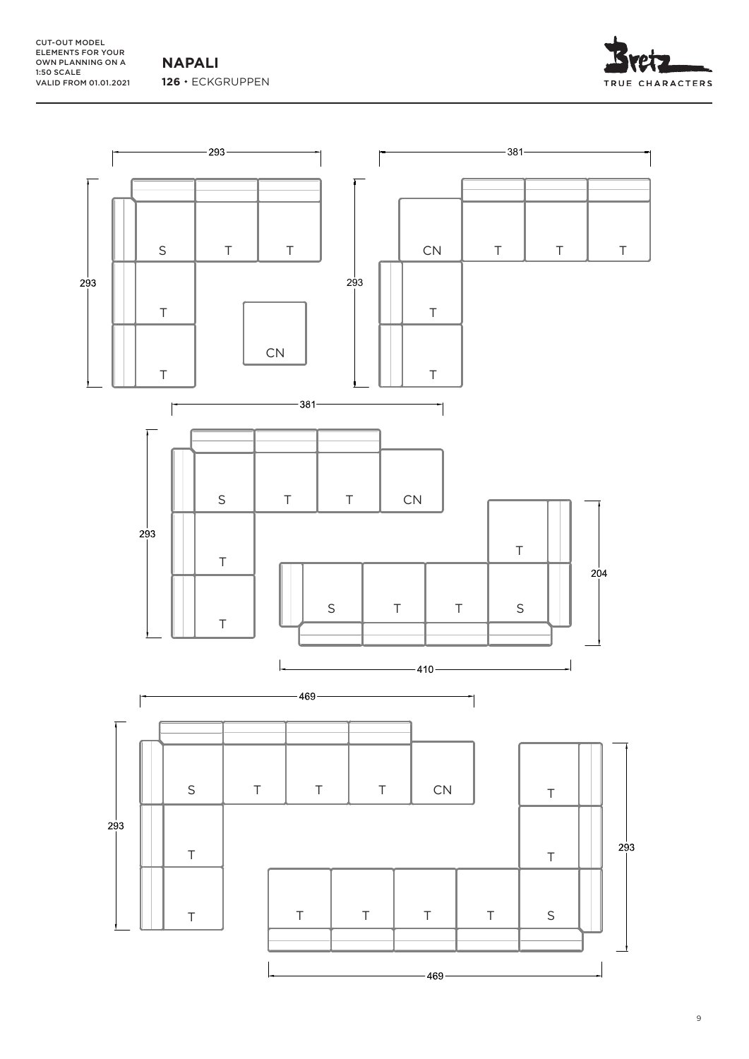CUT-OUT MODEL ELEMENTS FOR YOUR OWN PLANNING ON A 1:50 SCALE VALID FROM 01.01.2021

**NAPALI 126**  ECKGRUPPEN





9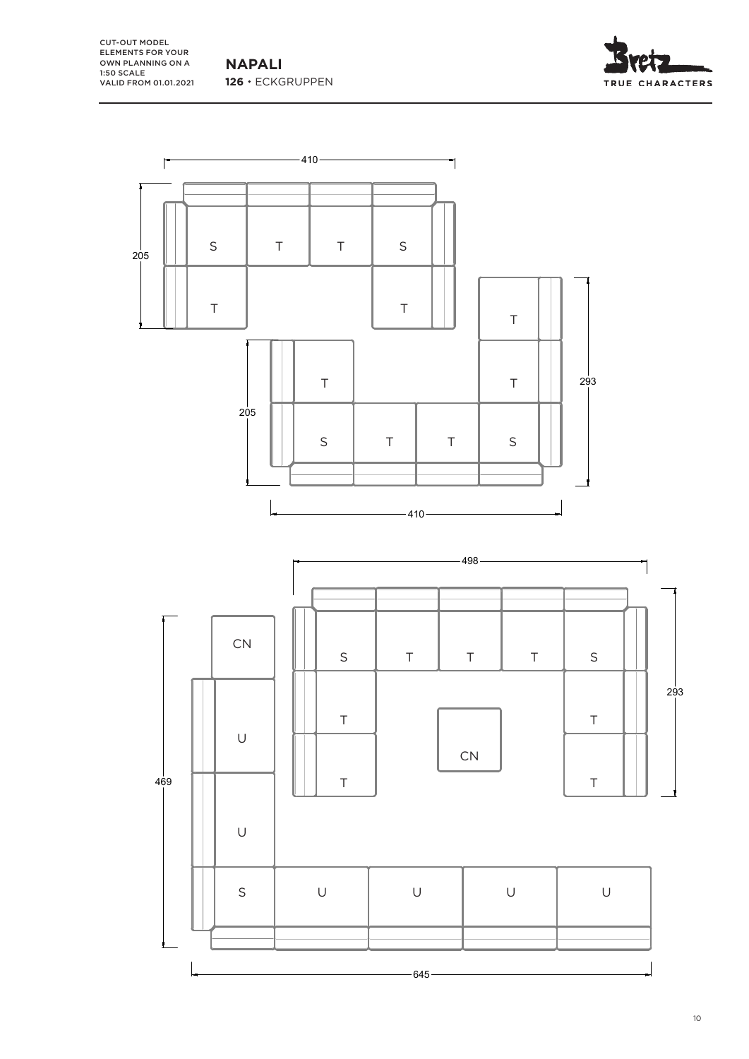**NAPALI 126**  ECKGRUPPEN

CUT-OUT MODEL ELEMENTS FOR YOUR OWN PLANNING ON A 1:50 SCALE VALID FROM 01.01.2021





10